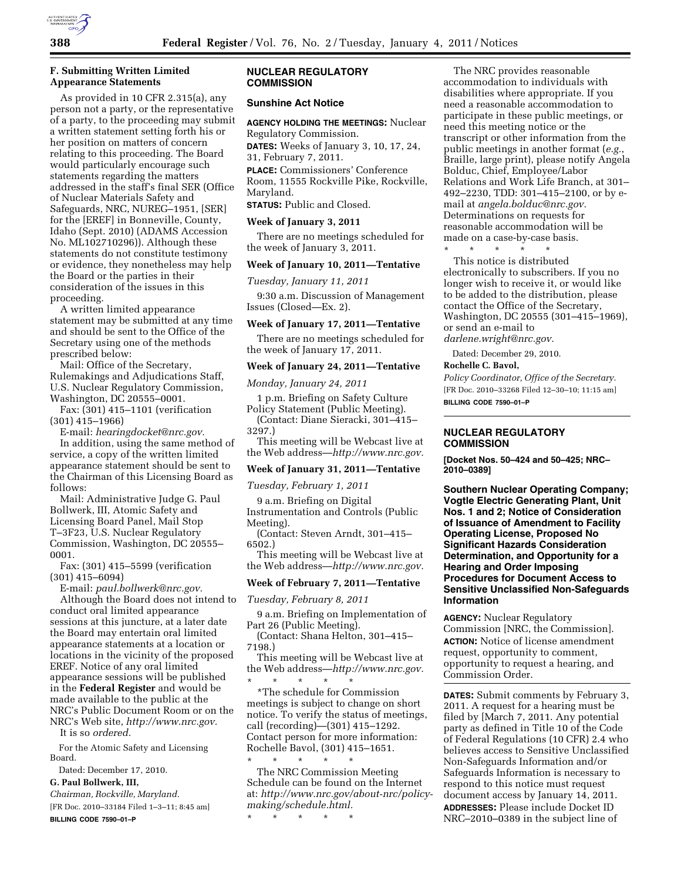

## **F. Submitting Written Limited Appearance Statements**

As provided in 10 CFR 2.315(a), any person not a party, or the representative of a party, to the proceeding may submit a written statement setting forth his or her position on matters of concern relating to this proceeding. The Board would particularly encourage such statements regarding the matters addressed in the staff's final SER (Office of Nuclear Materials Safety and Safeguards, NRC, NUREG–1951, [SER] for the [EREF] in Bonneville, County, Idaho (Sept. 2010) (ADAMS Accession No. ML102710296)). Although these statements do not constitute testimony or evidence, they nonetheless may help the Board or the parties in their consideration of the issues in this proceeding.

A written limited appearance statement may be submitted at any time and should be sent to the Office of the Secretary using one of the methods prescribed below:

Mail: Office of the Secretary, Rulemakings and Adjudications Staff, U.S. Nuclear Regulatory Commission, Washington, DC 20555–0001.

Fax: (301) 415–1101 (verification (301) 415–1966)

E-mail: *[hearingdocket@nrc.gov.](mailto:hearingdocket@nrc.gov)* 

In addition, using the same method of service, a copy of the written limited appearance statement should be sent to the Chairman of this Licensing Board as follows:

Mail: Administrative Judge G. Paul Bollwerk, III, Atomic Safety and Licensing Board Panel, Mail Stop T–3F23, U.S. Nuclear Regulatory Commission, Washington, DC 20555– 0001.

Fax: (301) 415–5599 (verification (301) 415–6094)

E-mail: *[paul.bollwerk@nrc.gov.](mailto:paul.bollwerk@nrc.gov)* 

Although the Board does not intend to conduct oral limited appearance sessions at this juncture, at a later date the Board may entertain oral limited appearance statements at a location or locations in the vicinity of the proposed EREF. Notice of any oral limited appearance sessions will be published in the **Federal Register** and would be made available to the public at the NRC's Public Document Room or on the NRC's Web site, *[http://www.nrc.gov.](http://www.nrc.gov)* 

It is so *ordered.* 

For the Atomic Safety and Licensing Board.

Dated: December 17, 2010.

# **G. Paul Bollwerk, III,**

*Chairman, Rockville, Maryland.* 

[FR Doc. 2010–33184 Filed 1–3–11; 8:45 am] **BILLING CODE 7590–01–P** 

## **NUCLEAR REGULATORY COMMISSION**

## **Sunshine Act Notice**

**AGENCY HOLDING THE MEETINGS:** Nuclear Regulatory Commission.

**DATES:** Weeks of January 3, 10, 17, 24, 31, February 7, 2011.

**PLACE:** Commissioners' Conference Room, 11555 Rockville Pike, Rockville, Maryland.

**STATUS:** Public and Closed.

#### **Week of January 3, 2011**

There are no meetings scheduled for the week of January 3, 2011.

#### **Week of January 10, 2011—Tentative**

*Tuesday, January 11, 2011* 

9:30 a.m. Discussion of Management Issues (Closed—Ex. 2).

### **Week of January 17, 2011—Tentative**

There are no meetings scheduled for the week of January 17, 2011.

### **Week of January 24, 2011—Tentative**

*Monday, January 24, 2011* 

1 p.m. Briefing on Safety Culture Policy Statement (Public Meeting). (Contact: Diane Sieracki, 301–415–

3297.) This meeting will be Webcast live at

the Web address—*[http://www.nrc.gov.](http://www.nrc.gov)* 

## **Week of January 31, 2011—Tentative**

*Tuesday, February 1, 2011* 

9 a.m. Briefing on Digital Instrumentation and Controls (Public Meeting).

(Contact: Steven Arndt, 301–415– 6502.)

This meeting will be Webcast live at the Web address—*[http://www.nrc.gov.](http://www.nrc.gov)* 

## **Week of February 7, 2011—Tentative**

*Tuesday, February 8, 2011* 

9 a.m. Briefing on Implementation of Part 26 (Public Meeting).

(Contact: Shana Helton, 301–415– 7198.)

This meeting will be Webcast live at the Web address—*[http://www.nrc.gov.](http://www.nrc.gov)*  \* \* \* \* \*

\*The schedule for Commission meetings is subject to change on short notice. To verify the status of meetings, call (recording)—(301) 415–1292. Contact person for more information: Rochelle Bavol, (301) 415–1651.

\* \* \* \* \* The NRC Commission Meeting Schedule can be found on the Internet at: *[http://www.nrc.gov/about-nrc/policy](http://www.nrc.gov/about-nrc/policy-making/schedule.html)[making/schedule.html.](http://www.nrc.gov/about-nrc/policy-making/schedule.html)* 

\* \* \* \* \*

The NRC provides reasonable accommodation to individuals with disabilities where appropriate. If you need a reasonable accommodation to participate in these public meetings, or need this meeting notice or the transcript or other information from the public meetings in another format (*e.g.*, Braille, large print), please notify Angela Bolduc, Chief, Employee/Labor Relations and Work Life Branch, at 301– 492–2230, TDD: 301–415–2100, or by email at *[angela.bolduc@nrc.gov.](mailto:angela.bolduc@nrc.gov)*  Determinations on requests for reasonable accommodation will be made on a case-by-case basis.

\* \* \* \* \* This notice is distributed electronically to subscribers. If you no longer wish to receive it, or would like to be added to the distribution, please contact the Office of the Secretary, Washington, DC 20555 (301–415–1969), or send an e-mail to *[darlene.wright@nrc.gov.](mailto:darlene.wright@nrc.gov)* 

Dated: December 29, 2010.

### **Rochelle C. Bavol,**

*Policy Coordinator, Office of the Secretary.*  [FR Doc. 2010–33268 Filed 12–30–10; 11:15 am] **BILLING CODE 7590–01–P** 

## **NUCLEAR REGULATORY COMMISSION**

**[Docket Nos. 50–424 and 50–425; NRC– 2010–0389]** 

**Southern Nuclear Operating Company; Vogtle Electric Generating Plant, Unit Nos. 1 and 2; Notice of Consideration of Issuance of Amendment to Facility Operating License, Proposed No Significant Hazards Consideration Determination, and Opportunity for a Hearing and Order Imposing Procedures for Document Access to Sensitive Unclassified Non-Safeguards Information** 

**AGENCY:** Nuclear Regulatory Commission [NRC, the Commission]. **ACTION:** Notice of license amendment request, opportunity to comment, opportunity to request a hearing, and Commission Order.

**DATES:** Submit comments by February 3, 2011. A request for a hearing must be filed by [March 7, 2011. Any potential party as defined in Title 10 of the Code of Federal Regulations (10 CFR) 2.4 who believes access to Sensitive Unclassified Non-Safeguards Information and/or Safeguards Information is necessary to respond to this notice must request document access by January 14, 2011. **ADDRESSES:** Please include Docket ID NRC–2010–0389 in the subject line of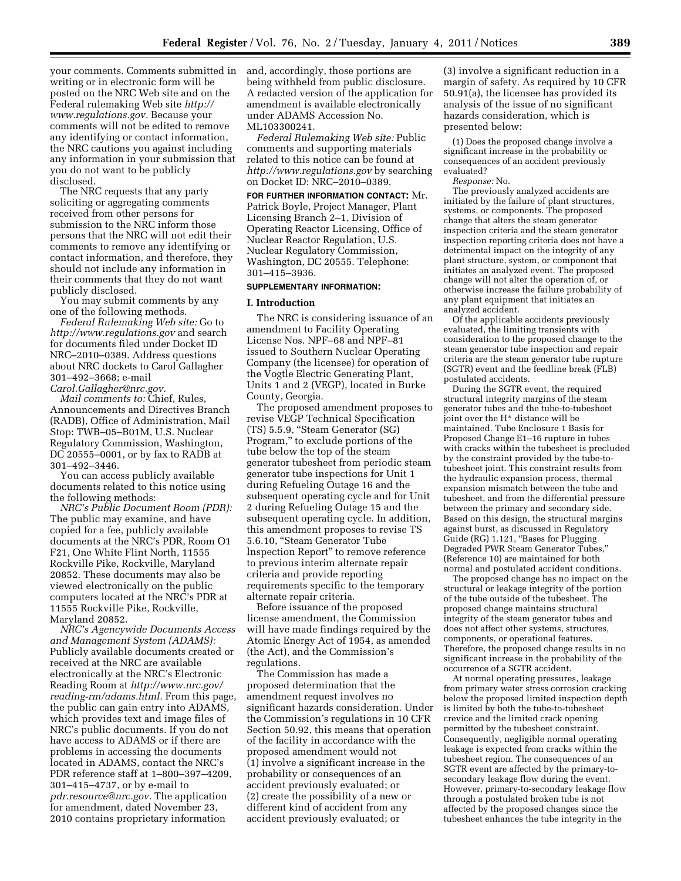your comments. Comments submitted in writing or in electronic form will be posted on the NRC Web site and on the Federal rulemaking Web site *[http://](http://www.regulations.gov) [www.regulations.gov.](http://www.regulations.gov)* Because your comments will not be edited to remove any identifying or contact information, the NRC cautions you against including any information in your submission that you do not want to be publicly disclosed.

The NRC requests that any party soliciting or aggregating comments received from other persons for submission to the NRC inform those persons that the NRC will not edit their comments to remove any identifying or contact information, and therefore, they should not include any information in their comments that they do not want publicly disclosed.

You may submit comments by any one of the following methods.

*Federal Rulemaking Web site:* Go to *<http://www.regulations.gov>* and search for documents filed under Docket ID NRC–2010–0389. Address questions about NRC dockets to Carol Gallagher 301–492–3668; e-mail *[Carol.Gallagher@nrc.gov.](mailto:Carol.Gallagher@nrc.gov)* 

*Mail comments to:* Chief, Rules, Announcements and Directives Branch (RADB), Office of Administration, Mail Stop: TWB–05–B01M, U.S. Nuclear Regulatory Commission, Washington, DC 20555–0001, or by fax to RADB at 301–492–3446.

You can access publicly available documents related to this notice using the following methods:

*NRC's Public Document Room (PDR):*  The public may examine, and have copied for a fee, publicly available documents at the NRC's PDR, Room O1 F21, One White Flint North, 11555 Rockville Pike, Rockville, Maryland 20852. These documents may also be viewed electronically on the public computers located at the NRC's PDR at 11555 Rockville Pike, Rockville, Maryland 20852.

*NRC's Agencywide Documents Access and Management System (ADAMS):*  Publicly available documents created or received at the NRC are available electronically at the NRC's Electronic Reading Room at *[http://www.nrc.gov/](http://www.nrc.gov/reading-rm/adams.html)  [reading-rm/adams.html.](http://www.nrc.gov/reading-rm/adams.html)* From this page, the public can gain entry into ADAMS, which provides text and image files of NRC's public documents. If you do not have access to ADAMS or if there are problems in accessing the documents located in ADAMS, contact the NRC's PDR reference staff at 1–800–397–4209, 301–415–4737, or by e-mail to *[pdr.resource@nrc.gov.](mailto:pdr.resource@nrc.gov)* The application for amendment, dated November 23, 2010 contains proprietary information

and, accordingly, those portions are being withheld from public disclosure. A redacted version of the application for amendment is available electronically under ADAMS Accession No. ML103300241.

*Federal Rulemaking Web site:* Public comments and supporting materials related to this notice can be found at *<http://www.regulations.gov>* by searching on Docket ID: NRC–2010–0389.

**FOR FURTHER INFORMATION CONTACT:** Mr. Patrick Boyle, Project Manager, Plant Licensing Branch 2–1, Division of Operating Reactor Licensing, Office of Nuclear Reactor Regulation, U.S. Nuclear Regulatory Commission, Washington, DC 20555. Telephone: 301–415–3936.

### **SUPPLEMENTARY INFORMATION:**

#### **I. Introduction**

The NRC is considering issuance of an amendment to Facility Operating License Nos. NPF–68 and NPF–81 issued to Southern Nuclear Operating Company (the licensee) for operation of the Vogtle Electric Generating Plant, Units 1 and 2 (VEGP), located in Burke County, Georgia.

The proposed amendment proposes to revise VEGP Technical Specification (TS) 5.5.9, ''Steam Generator (SG) Program,'' to exclude portions of the tube below the top of the steam generator tubesheet from periodic steam generator tube inspections for Unit 1 during Refueling Outage 16 and the subsequent operating cycle and for Unit 2 during Refueling Outage 15 and the subsequent operating cycle. In addition, this amendment proposes to revise TS 5.6.10, ''Steam Generator Tube lnspection Report'' to remove reference to previous interim alternate repair criteria and provide reporting requirements specific to the temporary alternate repair criteria.

Before issuance of the proposed license amendment, the Commission will have made findings required by the Atomic Energy Act of 1954, as amended (the Act), and the Commission's regulations.

The Commission has made a proposed determination that the amendment request involves no significant hazards consideration. Under the Commission's regulations in 10 CFR Section 50.92, this means that operation of the facility in accordance with the proposed amendment would not (1) involve a significant increase in the probability or consequences of an accident previously evaluated; or (2) create the possibility of a new or different kind of accident from any accident previously evaluated; or

(3) involve a significant reduction in a margin of safety. As required by 10 CFR 50.91(a), the licensee has provided its analysis of the issue of no significant hazards consideration, which is presented below:

(1) Does the proposed change involve a significant increase in the probability or consequences of an accident previously evaluated?

*Response:* No.

The previously analyzed accidents are initiated by the failure of plant structures, systems, or components. The proposed change that alters the steam generator inspection criteria and the steam generator inspection reporting criteria does not have a detrimental impact on the integrity of any plant structure, system, or component that initiates an analyzed event. The proposed change will not alter the operation of, or otherwise increase the failure probability of any plant equipment that initiates an analyzed accident.

Of the applicable accidents previously evaluated, the limiting transients with consideration to the proposed change to the steam generator tube inspection and repair criteria are the steam generator tube rupture (SGTR) event and the feedline break (FLB) postulated accidents.

During the SGTR event, the required structural integrity margins of the steam generator tubes and the tube-to-tubesheet joint over the H\* distance will be maintained. Tube Enclosure 1 Basis for Proposed Change E1–16 rupture in tubes with cracks within the tubesheet is precluded by the constraint provided by the tube-totubesheet joint. This constraint results from the hydraulic expansion process, thermal expansion mismatch between the tube and tubesheet, and from the differential pressure between the primary and secondary side. Based on this design, the structural margins against burst, as discussed in Regulatory Guide (RG) 1.121, ''Bases for Plugging Degraded PWR Steam Generator Tubes,'' (Reference 10) are maintained for both normal and postulated accident conditions.

The proposed change has no impact on the structural or leakage integrity of the portion of the tube outside of the tubesheet. The proposed change maintains structural integrity of the steam generator tubes and does not affect other systems, structures, components, or operational features. Therefore, the proposed change results in no significant increase in the probability of the occurrence of a SGTR accident.

At normal operating pressures, leakage from primary water stress corrosion cracking below the proposed limited inspection depth is limited by both the tube-to-tubesheet crevice and the limited crack opening permitted by the tubesheet constraint. Consequently, negligible normal operating leakage is expected from cracks within the tubesheet region. The consequences of an SGTR event are affected by the primary-tosecondary leakage flow during the event. However, primary-to-secondary leakage flow through a postulated broken tube is not affected by the proposed changes since the tubesheet enhances the tube integrity in the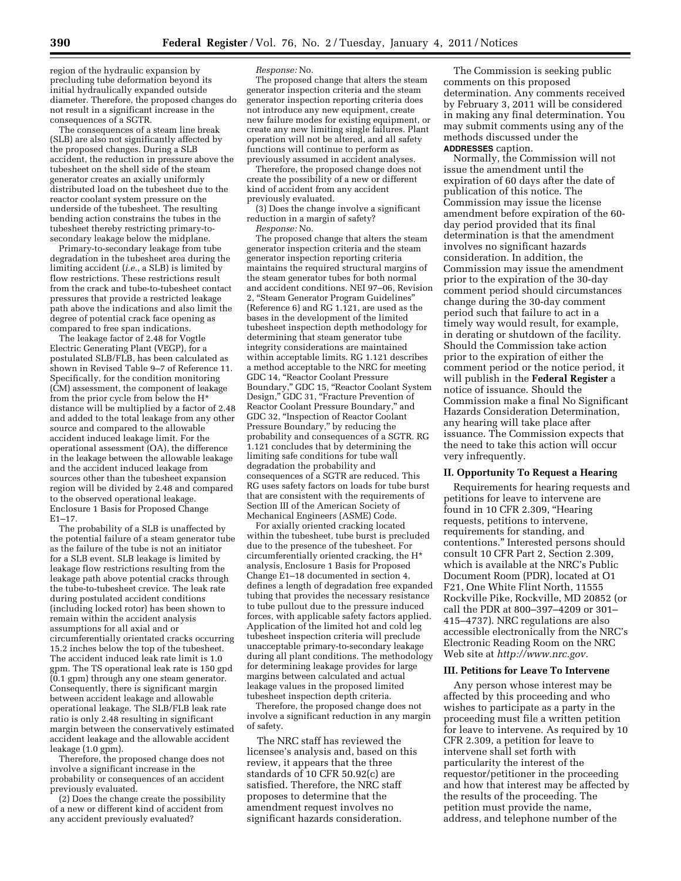region of the hydraulic expansion by precluding tube deformation beyond its initial hydraulically expanded outside diameter. Therefore, the proposed changes do not result in a significant increase in the consequences of a SGTR.

The consequences of a steam line break (SLB) are also not significantly affected by the proposed changes. During a SLB accident, the reduction in pressure above the tubesheet on the shell side of the steam generator creates an axially uniformly distributed load on the tubesheet due to the reactor coolant system pressure on the underside of the tubesheet. The resulting bending action constrains the tubes in the tubesheet thereby restricting primary-tosecondary leakage below the midplane.

Primary-to-secondary leakage from tube degradation in the tubesheet area during the limiting accident (*i.e.*, a SLB) is limited by flow restrictions. These restrictions result from the crack and tube-to-tubesheet contact pressures that provide a restricted leakage path above the indications and also limit the degree of potential crack face opening as compared to free span indications.

The leakage factor of 2.48 for Vogtle Electric Generating Plant (VEGP), for a postulated SLB/FLB, has been calculated as shown in Revised Table 9–7 of Reference 11. Specifically, for the condition monitoring (CM) assessment, the component of leakage from the prior cycle from below the H\* distance will be multiplied by a factor of 2.48 and added to the total leakage from any other source and compared to the allowable accident induced leakage limit. For the operational assessment (OA), the difference in the leakage between the allowable leakage and the accident induced leakage from sources other than the tubesheet expansion region will be divided by 2.48 and compared to the observed operational leakage. Enclosure 1 Basis for Proposed Change E1–17.

The probability of a SLB is unaffected by the potential failure of a steam generator tube as the failure of the tube is not an initiator for a SLB event. SLB leakage is limited by leakage flow restrictions resulting from the leakage path above potential cracks through the tube-to-tubesheet crevice. The leak rate during postulated accident conditions (including locked rotor) has been shown to remain within the accident analysis assumptions for all axial and or circumferentially orientated cracks occurring 15.2 inches below the top of the tubesheet. The accident induced leak rate limit is 1.0 gpm. The TS operational leak rate is 150 gpd (0.1 gpm) through any one steam generator. Consequently, there is significant margin between accident leakage and allowable operational leakage. The SLB/FLB leak rate ratio is only 2.48 resulting in significant margin between the conservatively estimated accident leakage and the allowable accident leakage (1.0 gpm).

Therefore, the proposed change does not involve a significant increase in the probability or consequences of an accident previously evaluated.

(2) Does the change create the possibility of a new or different kind of accident from any accident previously evaluated?

#### *Response:* No.

The proposed change that alters the steam generator inspection criteria and the steam generator inspection reporting criteria does not introduce any new equipment, create new failure modes for existing equipment, or create any new limiting single failures. Plant operation will not be altered, and all safety functions will continue to perform as previously assumed in accident analyses.

Therefore, the proposed change does not create the possibility of a new or different kind of accident from any accident previously evaluated.

(3) Does the change involve a significant reduction in a margin of safety? *Response:* No.

The proposed change that alters the steam generator inspection criteria and the steam generator inspection reporting criteria maintains the required structural margins of the steam generator tubes for both normal and accident conditions. NEI 97–06, Revision 2, ''Steam Generator Program Guidelines'' (Reference 6) and RG 1.121, are used as the bases in the development of the limited tubesheet inspection depth methodology for determining that steam generator tube integrity considerations are maintained within acceptable limits. RG 1.121 describes a method acceptable to the NRC for meeting GDC 14, ''Reactor Coolant Pressure Boundary,'' GDC 15, ''Reactor Coolant System Design," GDC 31, "Fracture Prevention of Reactor Coolant Pressure Boundary,'' and GDC 32, ''Inspection of Reactor Coolant Pressure Boundary,'' by reducing the probability and consequences of a SGTR. RG 1.121 concludes that by determining the limiting safe conditions for tube wall degradation the probability and consequences of a SGTR are reduced. This RG uses safety factors on loads for tube burst that are consistent with the requirements of Section III of the American Society of Mechanical Engineers (ASME) Code.

For axially oriented cracking located within the tubesheet, tube burst is precluded due to the presence of the tubesheet. For circumferentially oriented cracking, the H\* analysis, Enclosure 1 Basis for Proposed Change E1–18 documented in section 4, defines a length of degradation free expanded tubing that provides the necessary resistance to tube pullout due to the pressure induced forces, with applicable safety factors applied. Application of the limited hot and cold leg tubesheet inspection criteria will preclude unacceptable primary-to-secondary leakage during all plant conditions. The methodology for determining leakage provides for large margins between calculated and actual leakage values in the proposed limited tubesheet inspection depth criteria.

Therefore, the proposed change does not involve a significant reduction in any margin of safety.

The NRC staff has reviewed the licensee's analysis and, based on this review, it appears that the three standards of 10 CFR 50.92(c) are satisfied. Therefore, the NRC staff proposes to determine that the amendment request involves no significant hazards consideration.

The Commission is seeking public comments on this proposed determination. Any comments received by February 3, 2011 will be considered in making any final determination. You may submit comments using any of the methods discussed under the **ADDRESSES** caption.

Normally, the Commission will not issue the amendment until the expiration of 60 days after the date of publication of this notice. The Commission may issue the license amendment before expiration of the 60 day period provided that its final determination is that the amendment involves no significant hazards consideration. In addition, the Commission may issue the amendment prior to the expiration of the 30-day comment period should circumstances change during the 30-day comment period such that failure to act in a timely way would result, for example, in derating or shutdown of the facility. Should the Commission take action prior to the expiration of either the comment period or the notice period, it will publish in the **Federal Register** a notice of issuance. Should the Commission make a final No Significant Hazards Consideration Determination, any hearing will take place after issuance. The Commission expects that the need to take this action will occur very infrequently.

### **II. Opportunity To Request a Hearing**

Requirements for hearing requests and petitions for leave to intervene are found in 10 CFR 2.309, ''Hearing requests, petitions to intervene, requirements for standing, and contentions.'' Interested persons should consult 10 CFR Part 2, Section 2.309, which is available at the NRC's Public Document Room (PDR), located at O1 F21, One White Flint North, 11555 Rockville Pike, Rockville, MD 20852 (or call the PDR at 800–397–4209 or 301– 415–4737). NRC regulations are also accessible electronically from the NRC's Electronic Reading Room on the NRC Web site at *[http://www.nrc.gov.](http://www.nrc.gov)* 

#### **III. Petitions for Leave To Intervene**

Any person whose interest may be affected by this proceeding and who wishes to participate as a party in the proceeding must file a written petition for leave to intervene. As required by 10 CFR 2.309, a petition for leave to intervene shall set forth with particularity the interest of the requestor/petitioner in the proceeding and how that interest may be affected by the results of the proceeding. The petition must provide the name, address, and telephone number of the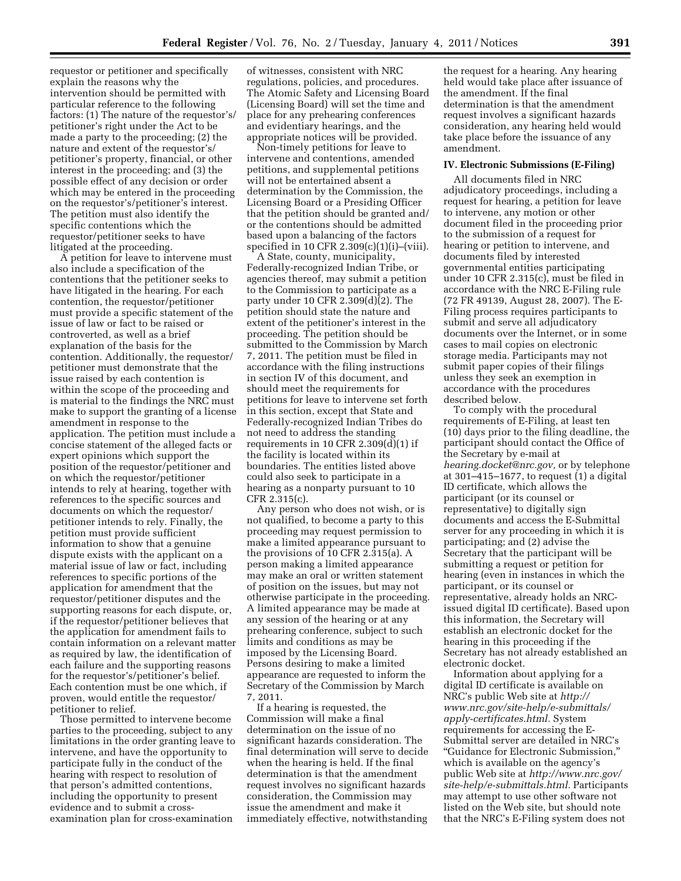requestor or petitioner and specifically explain the reasons why the intervention should be permitted with particular reference to the following factors: (1) The nature of the requestor's/ petitioner's right under the Act to be made a party to the proceeding; (2) the nature and extent of the requestor's/ petitioner's property, financial, or other interest in the proceeding; and (3) the possible effect of any decision or order which may be entered in the proceeding on the requestor's/petitioner's interest. The petition must also identify the specific contentions which the requestor/petitioner seeks to have litigated at the proceeding.

A petition for leave to intervene must also include a specification of the contentions that the petitioner seeks to have litigated in the hearing. For each contention, the requestor/petitioner must provide a specific statement of the issue of law or fact to be raised or controverted, as well as a brief explanation of the basis for the contention. Additionally, the requestor/ petitioner must demonstrate that the issue raised by each contention is within the scope of the proceeding and is material to the findings the NRC must make to support the granting of a license amendment in response to the application. The petition must include a concise statement of the alleged facts or expert opinions which support the position of the requestor/petitioner and on which the requestor/petitioner intends to rely at hearing, together with references to the specific sources and documents on which the requestor/ petitioner intends to rely. Finally, the petition must provide sufficient information to show that a genuine dispute exists with the applicant on a material issue of law or fact, including references to specific portions of the application for amendment that the requestor/petitioner disputes and the supporting reasons for each dispute, or, if the requestor/petitioner believes that the application for amendment fails to contain information on a relevant matter as required by law, the identification of each failure and the supporting reasons for the requestor's/petitioner's belief. Each contention must be one which, if proven, would entitle the requestor/ petitioner to relief.

Those permitted to intervene become parties to the proceeding, subject to any limitations in the order granting leave to intervene, and have the opportunity to participate fully in the conduct of the hearing with respect to resolution of that person's admitted contentions, including the opportunity to present evidence and to submit a crossexamination plan for cross-examination

of witnesses, consistent with NRC regulations, policies, and procedures. The Atomic Safety and Licensing Board (Licensing Board) will set the time and place for any prehearing conferences and evidentiary hearings, and the appropriate notices will be provided.

Non-timely petitions for leave to intervene and contentions, amended petitions, and supplemental petitions will not be entertained absent a determination by the Commission, the Licensing Board or a Presiding Officer that the petition should be granted and/ or the contentions should be admitted based upon a balancing of the factors specified in 10 CFR 2.309(c)(1)(i)–(viii).

A State, county, municipality, Federally-recognized Indian Tribe, or agencies thereof, may submit a petition to the Commission to participate as a party under 10 CFR 2.309(d)(2). The petition should state the nature and extent of the petitioner's interest in the proceeding. The petition should be submitted to the Commission by March 7, 2011. The petition must be filed in accordance with the filing instructions in section IV of this document, and should meet the requirements for petitions for leave to intervene set forth in this section, except that State and Federally-recognized Indian Tribes do not need to address the standing requirements in 10 CFR 2.309( $d$ )(1) if the facility is located within its boundaries. The entities listed above could also seek to participate in a hearing as a nonparty pursuant to 10 CFR 2.315(c).

Any person who does not wish, or is not qualified, to become a party to this proceeding may request permission to make a limited appearance pursuant to the provisions of 10 CFR 2.315(a). A person making a limited appearance may make an oral or written statement of position on the issues, but may not otherwise participate in the proceeding. A limited appearance may be made at any session of the hearing or at any prehearing conference, subject to such limits and conditions as may be imposed by the Licensing Board. Persons desiring to make a limited appearance are requested to inform the Secretary of the Commission by March 7, 2011.

If a hearing is requested, the Commission will make a final determination on the issue of no significant hazards consideration. The final determination will serve to decide when the hearing is held. If the final determination is that the amendment request involves no significant hazards consideration, the Commission may issue the amendment and make it immediately effective, notwithstanding

the request for a hearing. Any hearing held would take place after issuance of the amendment. If the final determination is that the amendment request involves a significant hazards consideration, any hearing held would take place before the issuance of any amendment.

#### **IV. Electronic Submissions (E-Filing)**

All documents filed in NRC adjudicatory proceedings, including a request for hearing, a petition for leave to intervene, any motion or other document filed in the proceeding prior to the submission of a request for hearing or petition to intervene, and documents filed by interested governmental entities participating under 10 CFR 2.315(c), must be filed in accordance with the NRC E-Filing rule (72 FR 49139, August 28, 2007). The E-Filing process requires participants to submit and serve all adjudicatory documents over the Internet, or in some cases to mail copies on electronic storage media. Participants may not submit paper copies of their filings unless they seek an exemption in accordance with the procedures described below.

To comply with the procedural requirements of E-Filing, at least ten (10) days prior to the filing deadline, the participant should contact the Office of the Secretary by e-mail at *[hearing.docket@nrc.gov,](mailto:hearing.docket@nrc.gov)* or by telephone at 301–415–1677, to request (1) a digital ID certificate, which allows the participant (or its counsel or representative) to digitally sign documents and access the E-Submittal server for any proceeding in which it is participating; and (2) advise the Secretary that the participant will be submitting a request or petition for hearing (even in instances in which the participant, or its counsel or representative, already holds an NRCissued digital ID certificate). Based upon this information, the Secretary will establish an electronic docket for the hearing in this proceeding if the Secretary has not already established an electronic docket.

Information about applying for a digital ID certificate is available on NRC's public Web site at *[http://](http://www.nrc.gov/site-help/e-submittals/apply-certificates.html) [www.nrc.gov/site-help/e-submittals/](http://www.nrc.gov/site-help/e-submittals/apply-certificates.html) [apply-certificates.html.](http://www.nrc.gov/site-help/e-submittals/apply-certificates.html)* System requirements for accessing the E-Submittal server are detailed in NRC's ''Guidance for Electronic Submission,'' which is available on the agency's public Web site at *[http://www.nrc.gov/](http://www.nrc.gov/site-help/e-submittals.html) [site-help/e-submittals.html.](http://www.nrc.gov/site-help/e-submittals.html)* Participants may attempt to use other software not listed on the Web site, but should note that the NRC's E-Filing system does not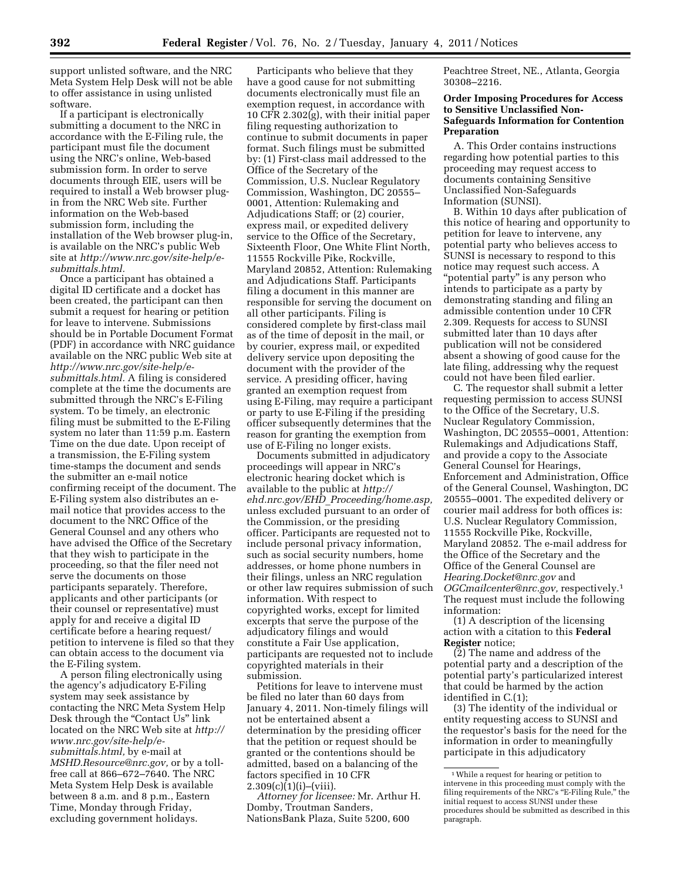support unlisted software, and the NRC Meta System Help Desk will not be able to offer assistance in using unlisted software.

If a participant is electronically submitting a document to the NRC in accordance with the E-Filing rule, the participant must file the document using the NRC's online, Web-based submission form. In order to serve documents through EIE, users will be required to install a Web browser plugin from the NRC Web site. Further information on the Web-based submission form, including the installation of the Web browser plug-in, is available on the NRC's public Web site at *[http://www.nrc.gov/site-help/e](http://www.nrc.gov/site-help/e-submittals.html)[submittals.html.](http://www.nrc.gov/site-help/e-submittals.html)* 

Once a participant has obtained a digital ID certificate and a docket has been created, the participant can then submit a request for hearing or petition for leave to intervene. Submissions should be in Portable Document Format (PDF) in accordance with NRC guidance available on the NRC public Web site at *[http://www.nrc.gov/site-help/e](http://www.nrc.gov/site-help/e-submittals.html)[submittals.html.](http://www.nrc.gov/site-help/e-submittals.html)* A filing is considered complete at the time the documents are submitted through the NRC's E-Filing system. To be timely, an electronic filing must be submitted to the E-Filing system no later than 11:59 p.m. Eastern Time on the due date. Upon receipt of a transmission, the E-Filing system time-stamps the document and sends the submitter an e-mail notice confirming receipt of the document. The E-Filing system also distributes an email notice that provides access to the document to the NRC Office of the General Counsel and any others who have advised the Office of the Secretary that they wish to participate in the proceeding, so that the filer need not serve the documents on those participants separately. Therefore, applicants and other participants (or their counsel or representative) must apply for and receive a digital ID certificate before a hearing request/ petition to intervene is filed so that they can obtain access to the document via the E-Filing system.

A person filing electronically using the agency's adjudicatory E-Filing system may seek assistance by contacting the NRC Meta System Help Desk through the "Contact Us" link located on the NRC Web site at *[http://](http://www.nrc.gov/site-help/e-submittals.html)  [www.nrc.gov/site-help/e](http://www.nrc.gov/site-help/e-submittals.html)[submittals.html,](http://www.nrc.gov/site-help/e-submittals.html)* by e-mail at *[MSHD.Resource@nrc.gov,](mailto:MSHD.Resource@nrc.gov)* or by a tollfree call at 866–672–7640. The NRC Meta System Help Desk is available between 8 a.m. and 8 p.m., Eastern Time, Monday through Friday, excluding government holidays.

Participants who believe that they have a good cause for not submitting documents electronically must file an exemption request, in accordance with 10 CFR 2.302 $(q)$ , with their initial paper filing requesting authorization to continue to submit documents in paper format. Such filings must be submitted by: (1) First-class mail addressed to the Office of the Secretary of the Commission, U.S. Nuclear Regulatory Commission, Washington, DC 20555– 0001, Attention: Rulemaking and Adjudications Staff; or (2) courier, express mail, or expedited delivery service to the Office of the Secretary, Sixteenth Floor, One White Flint North, 11555 Rockville Pike, Rockville, Maryland 20852, Attention: Rulemaking and Adjudications Staff. Participants filing a document in this manner are responsible for serving the document on all other participants. Filing is considered complete by first-class mail as of the time of deposit in the mail, or by courier, express mail, or expedited delivery service upon depositing the document with the provider of the service. A presiding officer, having granted an exemption request from using E-Filing, may require a participant or party to use E-Filing if the presiding officer subsequently determines that the reason for granting the exemption from use of E-Filing no longer exists.

Documents submitted in adjudicatory proceedings will appear in NRC's electronic hearing docket which is available to the public at *[http://](http://ehd.nrc.gov/EHD_Proceeding/home.asp)  ehd.nrc.gov/EHD*\_*[Proceeding/home.asp,](http://ehd.nrc.gov/EHD_Proceeding/home.asp)*  unless excluded pursuant to an order of the Commission, or the presiding officer. Participants are requested not to include personal privacy information, such as social security numbers, home addresses, or home phone numbers in their filings, unless an NRC regulation or other law requires submission of such information. With respect to copyrighted works, except for limited excerpts that serve the purpose of the adjudicatory filings and would constitute a Fair Use application, participants are requested not to include copyrighted materials in their submission.

Petitions for leave to intervene must be filed no later than 60 days from January 4, 2011. Non-timely filings will not be entertained absent a determination by the presiding officer that the petition or request should be granted or the contentions should be admitted, based on a balancing of the factors specified in 10 CFR  $2.309(c)(1)(i)$ –(viii).

*Attorney for licensee:* Mr. Arthur H. Domby, Troutman Sanders, NationsBank Plaza, Suite 5200, 600

Peachtree Street, NE., Atlanta, Georgia 30308–2216.

### **Order Imposing Procedures for Access to Sensitive Unclassified Non-Safeguards Information for Contention Preparation**

A. This Order contains instructions regarding how potential parties to this proceeding may request access to documents containing Sensitive Unclassified Non-Safeguards Information (SUNSI).

B. Within 10 days after publication of this notice of hearing and opportunity to petition for leave to intervene, any potential party who believes access to SUNSI is necessary to respond to this notice may request such access. A ''potential party'' is any person who intends to participate as a party by demonstrating standing and filing an admissible contention under 10 CFR 2.309. Requests for access to SUNSI submitted later than 10 days after publication will not be considered absent a showing of good cause for the late filing, addressing why the request could not have been filed earlier.

C. The requestor shall submit a letter requesting permission to access SUNSI to the Office of the Secretary, U.S. Nuclear Regulatory Commission, Washington, DC 20555–0001, Attention: Rulemakings and Adjudications Staff, and provide a copy to the Associate General Counsel for Hearings, Enforcement and Administration, Office of the General Counsel, Washington, DC 20555–0001. The expedited delivery or courier mail address for both offices is: U.S. Nuclear Regulatory Commission, 11555 Rockville Pike, Rockville, Maryland 20852. The e-mail address for the Office of the Secretary and the Office of the General Counsel are *[Hearing.Docket@nrc.gov](mailto:Hearing.Docket@nrc.gov)* and *[OGCmailcenter@nrc.gov,](mailto:OGCmailcenter@nrc.gov)* respectively.1 The request must include the following information:

(1) A description of the licensing action with a citation to this **Federal Register** notice;

(2) The name and address of the potential party and a description of the potential party's particularized interest that could be harmed by the action identified in C.(1);

(3) The identity of the individual or entity requesting access to SUNSI and the requestor's basis for the need for the information in order to meaningfully participate in this adjudicatory

<sup>1</sup>While a request for hearing or petition to intervene in this proceeding must comply with the filing requirements of the NRC's "E-Filing Rule," the initial request to access SUNSI under these procedures should be submitted as described in this paragraph.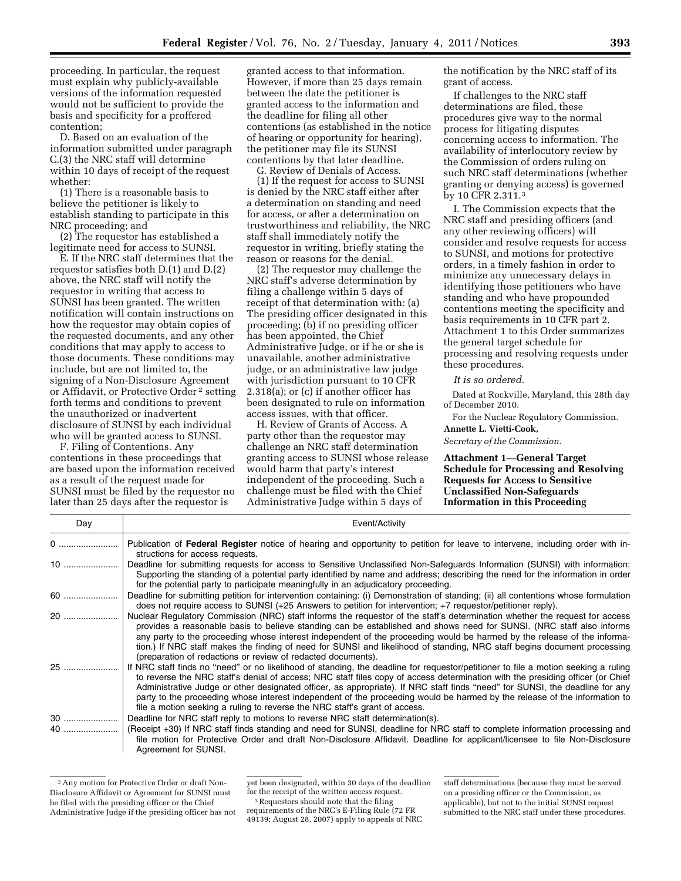proceeding. In particular, the request must explain why publicly-available versions of the information requested would not be sufficient to provide the basis and specificity for a proffered contention;

D. Based on an evaluation of the information submitted under paragraph C.(3) the NRC staff will determine within 10 days of receipt of the request whether:

(1) There is a reasonable basis to believe the petitioner is likely to establish standing to participate in this NRC proceeding; and

(2) The requestor has established a legitimate need for access to SUNSI.

E. If the NRC staff determines that the requestor satisfies both D.(1) and D.(2) above, the NRC staff will notify the requestor in writing that access to SUNSI has been granted. The written notification will contain instructions on how the requestor may obtain copies of the requested documents, and any other conditions that may apply to access to those documents. These conditions may include, but are not limited to, the signing of a Non-Disclosure Agreement or Affidavit, or Protective Order 2 setting forth terms and conditions to prevent the unauthorized or inadvertent disclosure of SUNSI by each individual who will be granted access to SUNSI.

F. Filing of Contentions. Any contentions in these proceedings that are based upon the information received as a result of the request made for SUNSI must be filed by the requestor no later than 25 days after the requestor is

granted access to that information. However, if more than 25 days remain between the date the petitioner is granted access to the information and the deadline for filing all other contentions (as established in the notice of hearing or opportunity for hearing), the petitioner may file its SUNSI contentions by that later deadline.

G. Review of Denials of Access.

(1) If the request for access to SUNSI is denied by the NRC staff either after a determination on standing and need for access, or after a determination on trustworthiness and reliability, the NRC staff shall immediately notify the requestor in writing, briefly stating the reason or reasons for the denial.

(2) The requestor may challenge the NRC staff's adverse determination by filing a challenge within 5 days of receipt of that determination with: (a) The presiding officer designated in this proceeding; (b) if no presiding officer has been appointed, the Chief Administrative Judge, or if he or she is unavailable, another administrative judge, or an administrative law judge with jurisdiction pursuant to 10 CFR 2.318(a); or (c) if another officer has been designated to rule on information access issues, with that officer.

H. Review of Grants of Access. A party other than the requestor may challenge an NRC staff determination granting access to SUNSI whose release would harm that party's interest independent of the proceeding. Such a challenge must be filed with the Chief Administrative Judge within 5 days of

the notification by the NRC staff of its grant of access.

If challenges to the NRC staff determinations are filed, these procedures give way to the normal process for litigating disputes concerning access to information. The availability of interlocutory review by the Commission of orders ruling on such NRC staff determinations (whether granting or denying access) is governed by 10 CFR 2.311.3

I. The Commission expects that the NRC staff and presiding officers (and any other reviewing officers) will consider and resolve requests for access to SUNSI, and motions for protective orders, in a timely fashion in order to minimize any unnecessary delays in identifying those petitioners who have standing and who have propounded contentions meeting the specificity and basis requirements in 10 CFR part 2. Attachment 1 to this Order summarizes the general target schedule for processing and resolving requests under these procedures.

*It is so ordered.* 

Dated at Rockville, Maryland, this 28th day of December 2010.

For the Nuclear Regulatory Commission.

**Annette L. Vietti-Cook,** 

*Secretary of the Commission.* 

**Attachment 1—General Target Schedule for Processing and Resolving Requests for Access to Sensitive Unclassified Non-Safeguards Information in this Proceeding** 

| Day | Event/Activity                                                                                                                                                                                                                                                                                                                                                                                                                                                                                                                                                                                                  |
|-----|-----------------------------------------------------------------------------------------------------------------------------------------------------------------------------------------------------------------------------------------------------------------------------------------------------------------------------------------------------------------------------------------------------------------------------------------------------------------------------------------------------------------------------------------------------------------------------------------------------------------|
| 0   | Publication of Federal Register notice of hearing and opportunity to petition for leave to intervene, including order with in-<br>structions for access requests.                                                                                                                                                                                                                                                                                                                                                                                                                                               |
| 10  | Deadline for submitting requests for access to Sensitive Unclassified Non-Safeguards Information (SUNSI) with information:<br>Supporting the standing of a potential party identified by name and address; describing the need for the information in order<br>for the potential party to participate meaningfully in an adjudicatory proceeding.                                                                                                                                                                                                                                                               |
| 60  | Deadline for submitting petition for intervention containing: (i) Demonstration of standing; (ii) all contentions whose formulation<br>does not require access to SUNSI (+25 Answers to petition for intervention; +7 requestor/petitioner reply).                                                                                                                                                                                                                                                                                                                                                              |
| 20  | Nuclear Regulatory Commission (NRC) staff informs the reguestor of the staff's determination whether the reguest for access<br>provides a reasonable basis to believe standing can be established and shows need for SUNSI. (NRC staff also informs<br>any party to the proceeding whose interest independent of the proceeding would be harmed by the release of the informa-<br>tion.) If NRC staff makes the finding of need for SUNSI and likelihood of standing, NRC staff begins document processing<br>(preparation of redactions or review of redacted documents).                                      |
| 25  | If NRC staff finds no "need" or no likelihood of standing, the deadline for requestor/petitioner to file a motion seeking a ruling<br>to reverse the NRC staff's denial of access; NRC staff files copy of access determination with the presiding officer (or Chief<br>Administrative Judge or other designated officer, as appropriate). If NRC staff finds "need" for SUNSI, the deadline for any<br>party to the proceeding whose interest independent of the proceeding would be harmed by the release of the information to<br>file a motion seeking a ruling to reverse the NRC staff's grant of access. |
| 30  | Deadline for NRC staff reply to motions to reverse NRC staff determination(s).                                                                                                                                                                                                                                                                                                                                                                                                                                                                                                                                  |
| 40  | (Receipt +30) If NRC staff finds standing and need for SUNSI, deadline for NRC staff to complete information processing and<br>file motion for Protective Order and draft Non-Disclosure Affidavit. Deadline for applicant/licensee to file Non-Disclosure<br>Agreement for SUNSI.                                                                                                                                                                                                                                                                                                                              |

<sup>2</sup>Any motion for Protective Order or draft Non-Disclosure Affidavit or Agreement for SUNSI must be filed with the presiding officer or the Chief Administrative Judge if the presiding officer has not

requirements of the NRC's E-Filing Rule (72 FR 49139; August 28, 2007) apply to appeals of NRC

yet been designated, within 30 days of the deadline for the receipt of the written access request.

<sup>&</sup>lt;sup>3</sup>Requestors should note that the filing

staff determinations (because they must be served on a presiding officer or the Commission, as applicable), but not to the initial SUNSI request submitted to the NRC staff under these procedures.